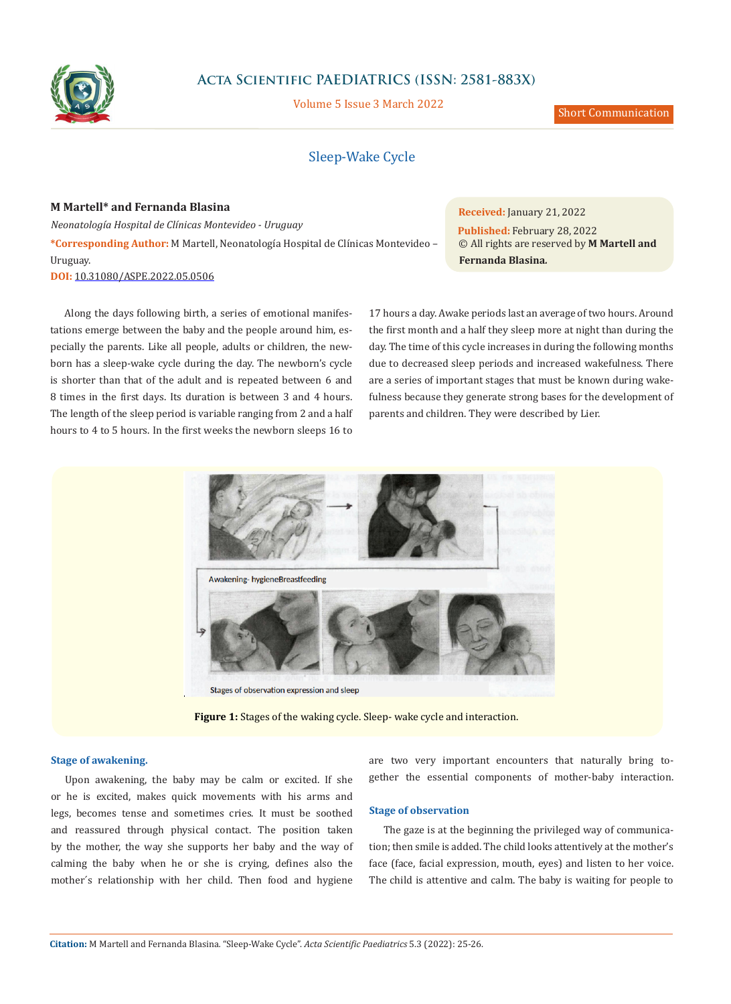

# **Acta Scientific PAEDIATRICS (ISSN: 2581-883X)**

Volume 5 Issue 3 March 2022

Short Communication

# Sleep-Wake Cycle

## **M Martell\* and Fernanda Blasina**

*Neonatología Hospital de Clínicas Montevideo - Uruguay* **\*Corresponding Author:** M Martell, Neonatología Hospital de Clínicas Montevideo – Uruguay.

**DOI:** [10.31080/ASPE.2022.05.0506](https://actascientific.com/ASPE/pdf/ASPE-05-0506.pdf)

Along the days following birth, a series of emotional manifestations emerge between the baby and the people around him, especially the parents. Like all people, adults or children, the newborn has a sleep-wake cycle during the day. The newborn's cycle is shorter than that of the adult and is repeated between 6 and 8 times in the first days. Its duration is between 3 and 4 hours. The length of the sleep period is variable ranging from 2 and a half hours to 4 to 5 hours. In the first weeks the newborn sleeps 16 to **Received:** January 21, 2022 **Published:** February 28, 2022 © All rights are reserved by **M Martell and Fernanda Blasina***.*

17 hours a day. Awake periods last an average of two hours. Around the first month and a half they sleep more at night than during the day. The time of this cycle increases in during the following months due to decreased sleep periods and increased wakefulness. There are a series of important stages that must be known during wakefulness because they generate strong bases for the development of parents and children. They were described by Lier.



**Figure 1:** Stages of the waking cycle. Sleep- wake cycle and interaction.

## **Stage of awakening.**

Upon awakening, the baby may be calm or excited. If she or he is excited, makes quick movements with his arms and legs, becomes tense and sometimes cries. It must be soothed and reassured through physical contact. The position taken by the mother, the way she supports her baby and the way of calming the baby when he or she is crying, defines also the mother´s relationship with her child. Then food and hygiene

are two very important encounters that naturally bring together the essential components of mother-baby interaction.

### **Stage of observation**

The gaze is at the beginning the privileged way of communication; then smile is added. The child looks attentively at the mother's face (face, facial expression, mouth, eyes) and listen to her voice. The child is attentive and calm. The baby is waiting for people to